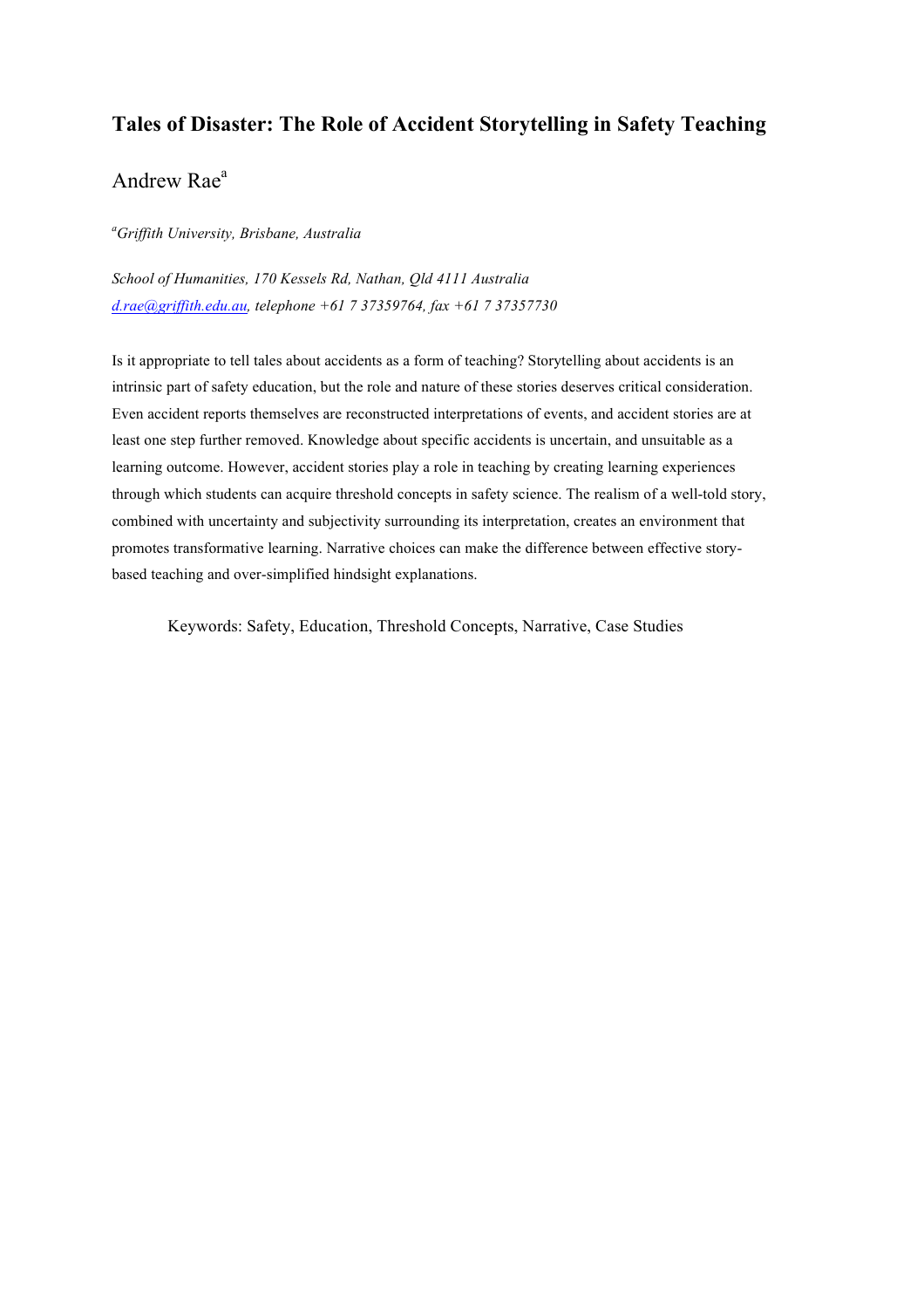# **Tales of Disaster: The Role of Accident Storytelling in Safety Teaching**

# Andrew Rae<sup>a</sup>

*a Griffith University, Brisbane, Australia*

*School of Humanities, 170 Kessels Rd, Nathan, Qld 4111 Australia d.rae@griffith.edu.au, telephone +61 7 37359764, fax +61 7 37357730*

Is it appropriate to tell tales about accidents as a form of teaching? Storytelling about accidents is an intrinsic part of safety education, but the role and nature of these stories deserves critical consideration. Even accident reports themselves are reconstructed interpretations of events, and accident stories are at least one step further removed. Knowledge about specific accidents is uncertain, and unsuitable as a learning outcome. However, accident stories play a role in teaching by creating learning experiences through which students can acquire threshold concepts in safety science. The realism of a well-told story, combined with uncertainty and subjectivity surrounding its interpretation, creates an environment that promotes transformative learning. Narrative choices can make the difference between effective storybased teaching and over-simplified hindsight explanations.

Keywords: Safety, Education, Threshold Concepts, Narrative, Case Studies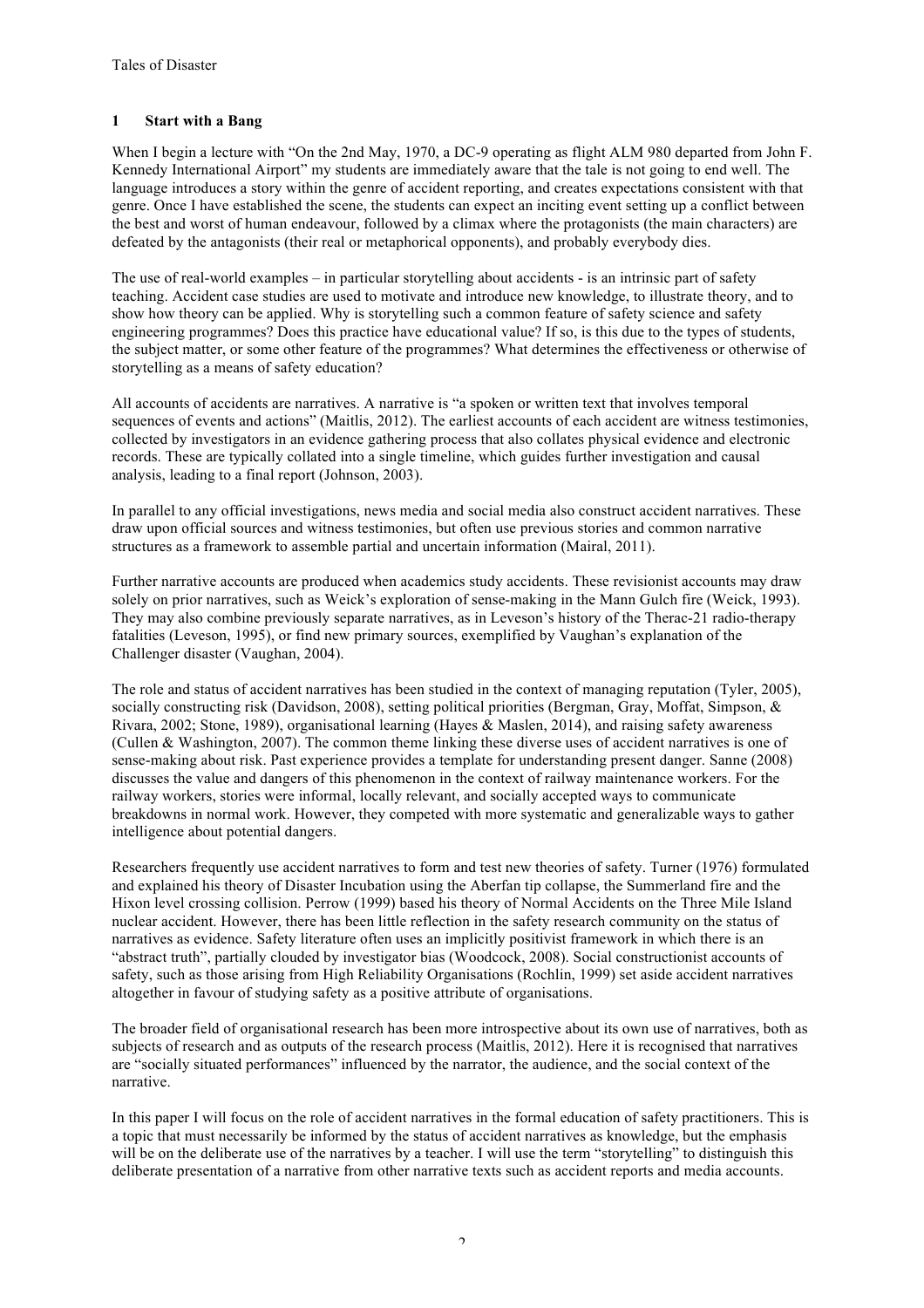## **1 Start with a Bang**

When I begin a lecture with "On the 2nd May, 1970, a DC-9 operating as flight ALM 980 departed from John F. Kennedy International Airport" my students are immediately aware that the tale is not going to end well. The language introduces a story within the genre of accident reporting, and creates expectations consistent with that genre. Once I have established the scene, the students can expect an inciting event setting up a conflict between the best and worst of human endeavour, followed by a climax where the protagonists (the main characters) are defeated by the antagonists (their real or metaphorical opponents), and probably everybody dies.

The use of real-world examples – in particular storytelling about accidents - is an intrinsic part of safety teaching. Accident case studies are used to motivate and introduce new knowledge, to illustrate theory, and to show how theory can be applied. Why is storytelling such a common feature of safety science and safety engineering programmes? Does this practice have educational value? If so, is this due to the types of students, the subject matter, or some other feature of the programmes? What determines the effectiveness or otherwise of storytelling as a means of safety education?

All accounts of accidents are narratives. A narrative is "a spoken or written text that involves temporal sequences of events and actions" (Maitlis, 2012). The earliest accounts of each accident are witness testimonies, collected by investigators in an evidence gathering process that also collates physical evidence and electronic records. These are typically collated into a single timeline, which guides further investigation and causal analysis, leading to a final report (Johnson, 2003).

In parallel to any official investigations, news media and social media also construct accident narratives. These draw upon official sources and witness testimonies, but often use previous stories and common narrative structures as a framework to assemble partial and uncertain information (Mairal, 2011).

Further narrative accounts are produced when academics study accidents. These revisionist accounts may draw solely on prior narratives, such as Weick's exploration of sense-making in the Mann Gulch fire (Weick, 1993). They may also combine previously separate narratives, as in Leveson's history of the Therac-21 radio-therapy fatalities (Leveson, 1995), or find new primary sources, exemplified by Vaughan's explanation of the Challenger disaster (Vaughan, 2004).

The role and status of accident narratives has been studied in the context of managing reputation (Tyler, 2005), socially constructing risk (Davidson, 2008), setting political priorities (Bergman, Gray, Moffat, Simpson, & Rivara, 2002; Stone, 1989), organisational learning (Hayes & Maslen, 2014), and raising safety awareness (Cullen & Washington, 2007). The common theme linking these diverse uses of accident narratives is one of sense-making about risk. Past experience provides a template for understanding present danger. Sanne (2008) discusses the value and dangers of this phenomenon in the context of railway maintenance workers. For the railway workers, stories were informal, locally relevant, and socially accepted ways to communicate breakdowns in normal work. However, they competed with more systematic and generalizable ways to gather intelligence about potential dangers.

Researchers frequently use accident narratives to form and test new theories of safety. Turner (1976) formulated and explained his theory of Disaster Incubation using the Aberfan tip collapse, the Summerland fire and the Hixon level crossing collision. Perrow (1999) based his theory of Normal Accidents on the Three Mile Island nuclear accident. However, there has been little reflection in the safety research community on the status of narratives as evidence. Safety literature often uses an implicitly positivist framework in which there is an "abstract truth", partially clouded by investigator bias (Woodcock, 2008). Social constructionist accounts of safety, such as those arising from High Reliability Organisations (Rochlin, 1999) set aside accident narratives altogether in favour of studying safety as a positive attribute of organisations.

The broader field of organisational research has been more introspective about its own use of narratives, both as subjects of research and as outputs of the research process (Maitlis, 2012). Here it is recognised that narratives are "socially situated performances" influenced by the narrator, the audience, and the social context of the narrative.

In this paper I will focus on the role of accident narratives in the formal education of safety practitioners. This is a topic that must necessarily be informed by the status of accident narratives as knowledge, but the emphasis will be on the deliberate use of the narratives by a teacher. I will use the term "storytelling" to distinguish this deliberate presentation of a narrative from other narrative texts such as accident reports and media accounts.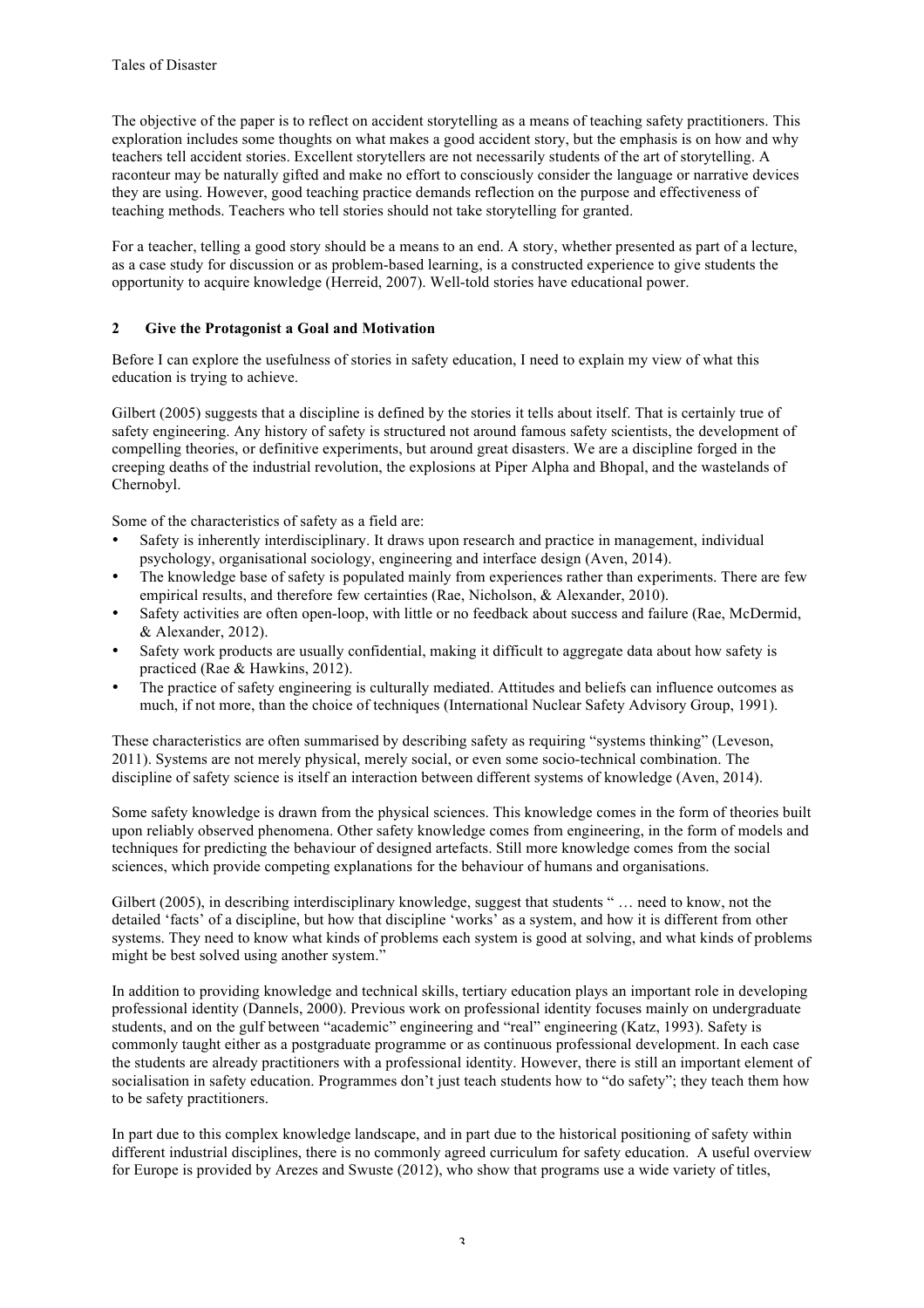The objective of the paper is to reflect on accident storytelling as a means of teaching safety practitioners. This exploration includes some thoughts on what makes a good accident story, but the emphasis is on how and why teachers tell accident stories. Excellent storytellers are not necessarily students of the art of storytelling. A raconteur may be naturally gifted and make no effort to consciously consider the language or narrative devices they are using. However, good teaching practice demands reflection on the purpose and effectiveness of teaching methods. Teachers who tell stories should not take storytelling for granted.

For a teacher, telling a good story should be a means to an end. A story, whether presented as part of a lecture, as a case study for discussion or as problem-based learning, is a constructed experience to give students the opportunity to acquire knowledge (Herreid, 2007). Well-told stories have educational power.

## **2 Give the Protagonist a Goal and Motivation**

Before I can explore the usefulness of stories in safety education, I need to explain my view of what this education is trying to achieve.

Gilbert (2005) suggests that a discipline is defined by the stories it tells about itself. That is certainly true of safety engineering. Any history of safety is structured not around famous safety scientists, the development of compelling theories, or definitive experiments, but around great disasters. We are a discipline forged in the creeping deaths of the industrial revolution, the explosions at Piper Alpha and Bhopal, and the wastelands of Chernobyl.

Some of the characteristics of safety as a field are:

- Safety is inherently interdisciplinary. It draws upon research and practice in management, individual psychology, organisational sociology, engineering and interface design (Aven, 2014).
- The knowledge base of safety is populated mainly from experiences rather than experiments. There are few empirical results, and therefore few certainties (Rae, Nicholson, & Alexander, 2010).
- Safety activities are often open-loop, with little or no feedback about success and failure (Rae, McDermid, & Alexander, 2012).
- Safety work products are usually confidential, making it difficult to aggregate data about how safety is practiced (Rae & Hawkins, 2012).
- The practice of safety engineering is culturally mediated. Attitudes and beliefs can influence outcomes as much, if not more, than the choice of techniques (International Nuclear Safety Advisory Group, 1991).

These characteristics are often summarised by describing safety as requiring "systems thinking" (Leveson, 2011). Systems are not merely physical, merely social, or even some socio-technical combination. The discipline of safety science is itself an interaction between different systems of knowledge (Aven, 2014).

Some safety knowledge is drawn from the physical sciences. This knowledge comes in the form of theories built upon reliably observed phenomena. Other safety knowledge comes from engineering, in the form of models and techniques for predicting the behaviour of designed artefacts. Still more knowledge comes from the social sciences, which provide competing explanations for the behaviour of humans and organisations.

Gilbert (2005), in describing interdisciplinary knowledge, suggest that students " … need to know, not the detailed 'facts' of a discipline, but how that discipline 'works' as a system, and how it is different from other systems. They need to know what kinds of problems each system is good at solving, and what kinds of problems might be best solved using another system."

In addition to providing knowledge and technical skills, tertiary education plays an important role in developing professional identity (Dannels, 2000). Previous work on professional identity focuses mainly on undergraduate students, and on the gulf between "academic" engineering and "real" engineering (Katz, 1993). Safety is commonly taught either as a postgraduate programme or as continuous professional development. In each case the students are already practitioners with a professional identity. However, there is still an important element of socialisation in safety education. Programmes don't just teach students how to "do safety"; they teach them how to be safety practitioners.

In part due to this complex knowledge landscape, and in part due to the historical positioning of safety within different industrial disciplines, there is no commonly agreed curriculum for safety education. A useful overview for Europe is provided by Arezes and Swuste (2012), who show that programs use a wide variety of titles,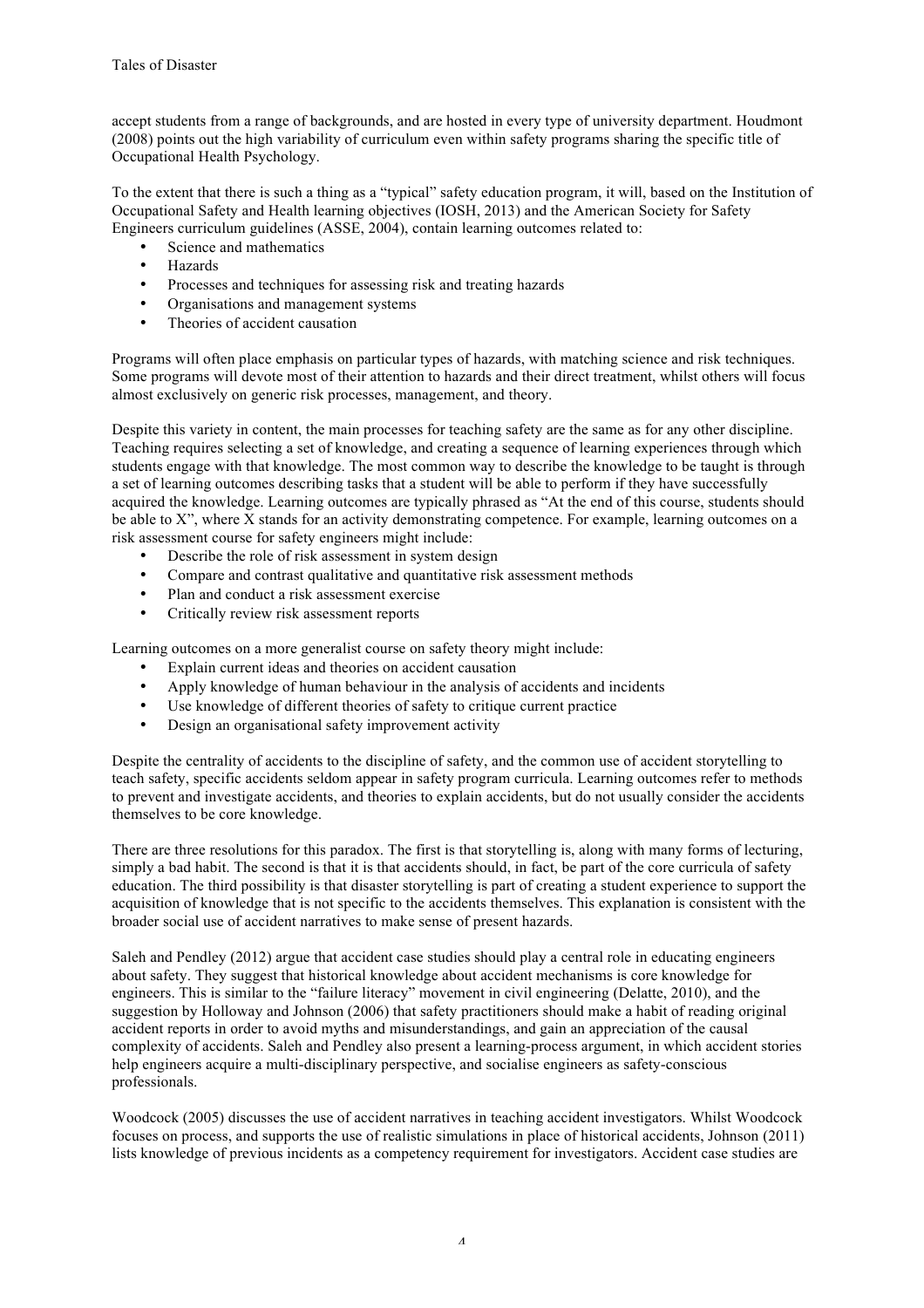accept students from a range of backgrounds, and are hosted in every type of university department. Houdmont (2008) points out the high variability of curriculum even within safety programs sharing the specific title of Occupational Health Psychology.

To the extent that there is such a thing as a "typical" safety education program, it will, based on the Institution of Occupational Safety and Health learning objectives (IOSH, 2013) and the American Society for Safety Engineers curriculum guidelines (ASSE, 2004), contain learning outcomes related to:

- Science and mathematics
- Hazards
- Processes and techniques for assessing risk and treating hazards
- Organisations and management systems
- Theories of accident causation

Programs will often place emphasis on particular types of hazards, with matching science and risk techniques. Some programs will devote most of their attention to hazards and their direct treatment, whilst others will focus almost exclusively on generic risk processes, management, and theory.

Despite this variety in content, the main processes for teaching safety are the same as for any other discipline. Teaching requires selecting a set of knowledge, and creating a sequence of learning experiences through which students engage with that knowledge. The most common way to describe the knowledge to be taught is through a set of learning outcomes describing tasks that a student will be able to perform if they have successfully acquired the knowledge. Learning outcomes are typically phrased as "At the end of this course, students should be able to X", where X stands for an activity demonstrating competence. For example, learning outcomes on a risk assessment course for safety engineers might include:

- Describe the role of risk assessment in system design<br>• Compare and contrast qualitative and quantitative risk
- Compare and contrast qualitative and quantitative risk assessment methods
- Plan and conduct a risk assessment exercise
- Critically review risk assessment reports

Learning outcomes on a more generalist course on safety theory might include:

- Explain current ideas and theories on accident causation
- Apply knowledge of human behaviour in the analysis of accidents and incidents<br>• Use knowledge of different theories of safety to critique current practice
- Use knowledge of different theories of safety to critique current practice
- Design an organisational safety improvement activity

Despite the centrality of accidents to the discipline of safety, and the common use of accident storytelling to teach safety, specific accidents seldom appear in safety program curricula. Learning outcomes refer to methods to prevent and investigate accidents, and theories to explain accidents, but do not usually consider the accidents themselves to be core knowledge.

There are three resolutions for this paradox. The first is that storytelling is, along with many forms of lecturing, simply a bad habit. The second is that it is that accidents should, in fact, be part of the core curricula of safety education. The third possibility is that disaster storytelling is part of creating a student experience to support the acquisition of knowledge that is not specific to the accidents themselves. This explanation is consistent with the broader social use of accident narratives to make sense of present hazards.

Saleh and Pendley (2012) argue that accident case studies should play a central role in educating engineers about safety. They suggest that historical knowledge about accident mechanisms is core knowledge for engineers. This is similar to the "failure literacy" movement in civil engineering (Delatte, 2010), and the suggestion by Holloway and Johnson (2006) that safety practitioners should make a habit of reading original accident reports in order to avoid myths and misunderstandings, and gain an appreciation of the causal complexity of accidents. Saleh and Pendley also present a learning-process argument, in which accident stories help engineers acquire a multi-disciplinary perspective, and socialise engineers as safety-conscious professionals.

Woodcock (2005) discusses the use of accident narratives in teaching accident investigators. Whilst Woodcock focuses on process, and supports the use of realistic simulations in place of historical accidents, Johnson (2011) lists knowledge of previous incidents as a competency requirement for investigators. Accident case studies are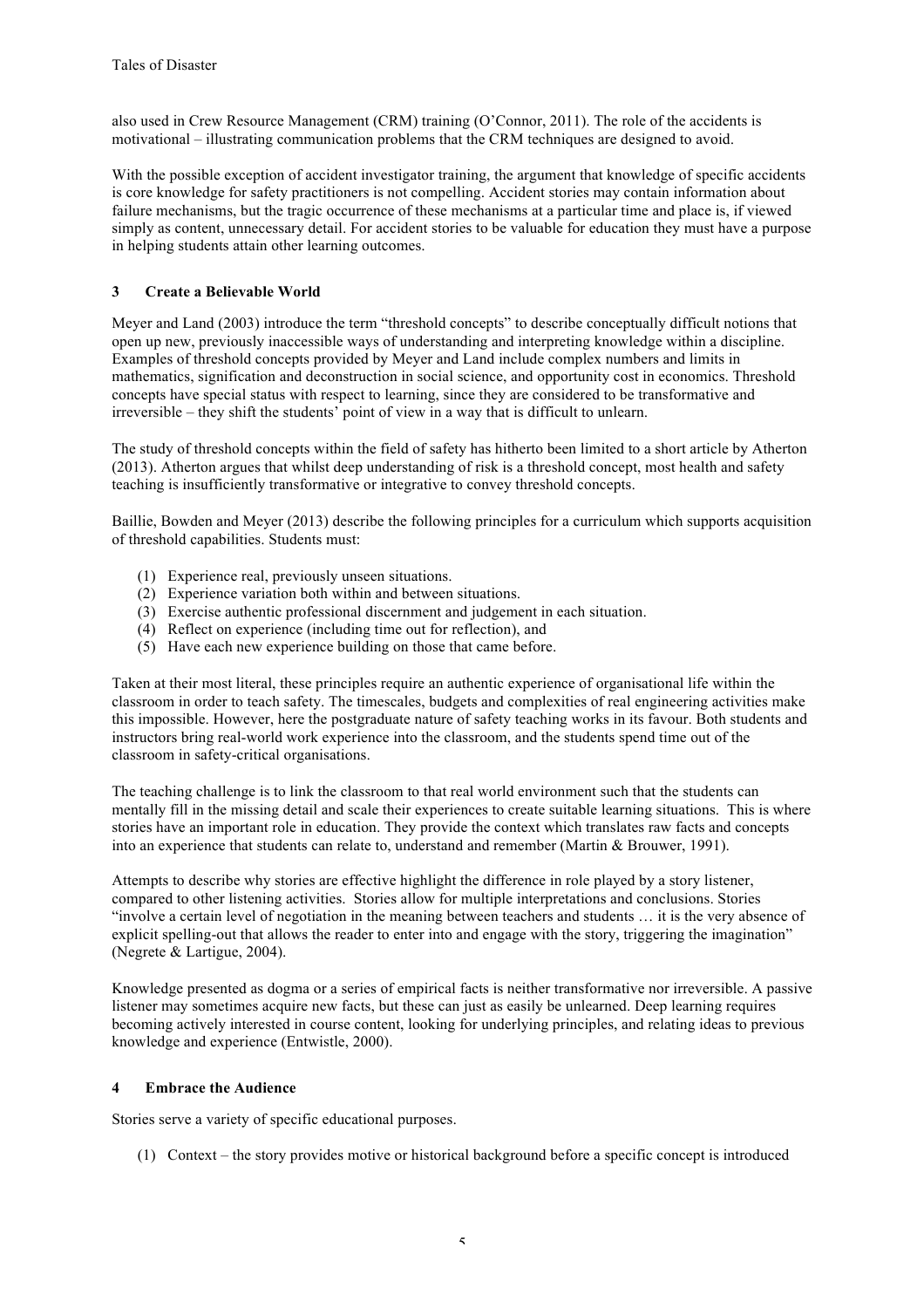also used in Crew Resource Management (CRM) training (O'Connor, 2011). The role of the accidents is motivational – illustrating communication problems that the CRM techniques are designed to avoid.

With the possible exception of accident investigator training, the argument that knowledge of specific accidents is core knowledge for safety practitioners is not compelling. Accident stories may contain information about failure mechanisms, but the tragic occurrence of these mechanisms at a particular time and place is, if viewed simply as content, unnecessary detail. For accident stories to be valuable for education they must have a purpose in helping students attain other learning outcomes.

# **3 Create a Believable World**

Meyer and Land (2003) introduce the term "threshold concepts" to describe conceptually difficult notions that open up new, previously inaccessible ways of understanding and interpreting knowledge within a discipline. Examples of threshold concepts provided by Meyer and Land include complex numbers and limits in mathematics, signification and deconstruction in social science, and opportunity cost in economics. Threshold concepts have special status with respect to learning, since they are considered to be transformative and irreversible – they shift the students' point of view in a way that is difficult to unlearn.

The study of threshold concepts within the field of safety has hitherto been limited to a short article by Atherton (2013). Atherton argues that whilst deep understanding of risk is a threshold concept, most health and safety teaching is insufficiently transformative or integrative to convey threshold concepts.

Baillie, Bowden and Meyer (2013) describe the following principles for a curriculum which supports acquisition of threshold capabilities. Students must:

- (1) Experience real, previously unseen situations.
- (2) Experience variation both within and between situations.
- (3) Exercise authentic professional discernment and judgement in each situation.
- (4) Reflect on experience (including time out for reflection), and
- (5) Have each new experience building on those that came before.

Taken at their most literal, these principles require an authentic experience of organisational life within the classroom in order to teach safety. The timescales, budgets and complexities of real engineering activities make this impossible. However, here the postgraduate nature of safety teaching works in its favour. Both students and instructors bring real-world work experience into the classroom, and the students spend time out of the classroom in safety-critical organisations.

The teaching challenge is to link the classroom to that real world environment such that the students can mentally fill in the missing detail and scale their experiences to create suitable learning situations. This is where stories have an important role in education. They provide the context which translates raw facts and concepts into an experience that students can relate to, understand and remember (Martin & Brouwer, 1991).

Attempts to describe why stories are effective highlight the difference in role played by a story listener, compared to other listening activities. Stories allow for multiple interpretations and conclusions. Stories "involve a certain level of negotiation in the meaning between teachers and students … it is the very absence of explicit spelling-out that allows the reader to enter into and engage with the story, triggering the imagination" (Negrete & Lartigue, 2004).

Knowledge presented as dogma or a series of empirical facts is neither transformative nor irreversible. A passive listener may sometimes acquire new facts, but these can just as easily be unlearned. Deep learning requires becoming actively interested in course content, looking for underlying principles, and relating ideas to previous knowledge and experience (Entwistle, 2000).

# **4 Embrace the Audience**

Stories serve a variety of specific educational purposes.

(1) Context – the story provides motive or historical background before a specific concept is introduced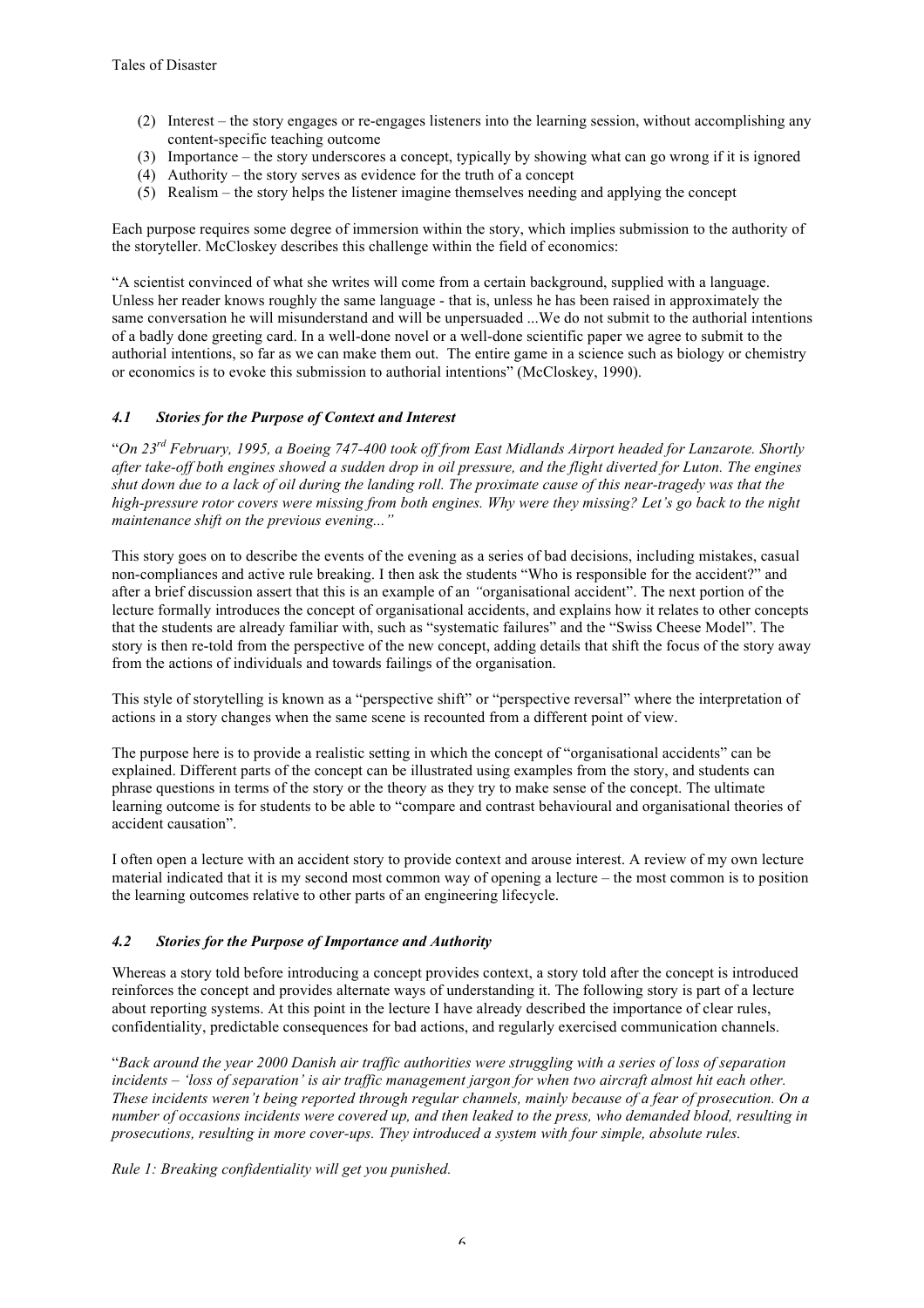- (2) Interest the story engages or re-engages listeners into the learning session, without accomplishing any content-specific teaching outcome
- (3) Importance the story underscores a concept, typically by showing what can go wrong if it is ignored
- (4) Authority the story serves as evidence for the truth of a concept
- (5) Realism the story helps the listener imagine themselves needing and applying the concept

Each purpose requires some degree of immersion within the story, which implies submission to the authority of the storyteller. McCloskey describes this challenge within the field of economics:

"A scientist convinced of what she writes will come from a certain background, supplied with a language. Unless her reader knows roughly the same language - that is, unless he has been raised in approximately the same conversation he will misunderstand and will be unpersuaded ...We do not submit to the authorial intentions of a badly done greeting card. In a well-done novel or a well-done scientific paper we agree to submit to the authorial intentions, so far as we can make them out. The entire game in a science such as biology or chemistry or economics is to evoke this submission to authorial intentions" (McCloskey, 1990).

# *4.1 Stories for the Purpose of Context and Interest*

"*On 23rd February, 1995, a Boeing 747-400 took off from East Midlands Airport headed for Lanzarote. Shortly after take-off both engines showed a sudden drop in oil pressure, and the flight diverted for Luton. The engines shut down due to a lack of oil during the landing roll. The proximate cause of this near-tragedy was that the high-pressure rotor covers were missing from both engines. Why were they missing? Let's go back to the night maintenance shift on the previous evening..."*

This story goes on to describe the events of the evening as a series of bad decisions, including mistakes, casual non-compliances and active rule breaking. I then ask the students "Who is responsible for the accident?" and after a brief discussion assert that this is an example of an *"*organisational accident". The next portion of the lecture formally introduces the concept of organisational accidents, and explains how it relates to other concepts that the students are already familiar with, such as "systematic failures" and the "Swiss Cheese Model". The story is then re-told from the perspective of the new concept, adding details that shift the focus of the story away from the actions of individuals and towards failings of the organisation.

This style of storytelling is known as a "perspective shift" or "perspective reversal" where the interpretation of actions in a story changes when the same scene is recounted from a different point of view.

The purpose here is to provide a realistic setting in which the concept of "organisational accidents" can be explained. Different parts of the concept can be illustrated using examples from the story, and students can phrase questions in terms of the story or the theory as they try to make sense of the concept. The ultimate learning outcome is for students to be able to "compare and contrast behavioural and organisational theories of accident causation".

I often open a lecture with an accident story to provide context and arouse interest. A review of my own lecture material indicated that it is my second most common way of opening a lecture – the most common is to position the learning outcomes relative to other parts of an engineering lifecycle.

## *4.2 Stories for the Purpose of Importance and Authority*

Whereas a story told before introducing a concept provides context, a story told after the concept is introduced reinforces the concept and provides alternate ways of understanding it. The following story is part of a lecture about reporting systems. At this point in the lecture I have already described the importance of clear rules, confidentiality, predictable consequences for bad actions, and regularly exercised communication channels.

"*Back around the year 2000 Danish air traffic authorities were struggling with a series of loss of separation incidents – 'loss of separation' is air traffic management jargon for when two aircraft almost hit each other. These incidents weren't being reported through regular channels, mainly because of a fear of prosecution. On a number of occasions incidents were covered up, and then leaked to the press, who demanded blood, resulting in prosecutions, resulting in more cover-ups. They introduced a system with four simple, absolute rules.* 

*Rule 1: Breaking confidentiality will get you punished.*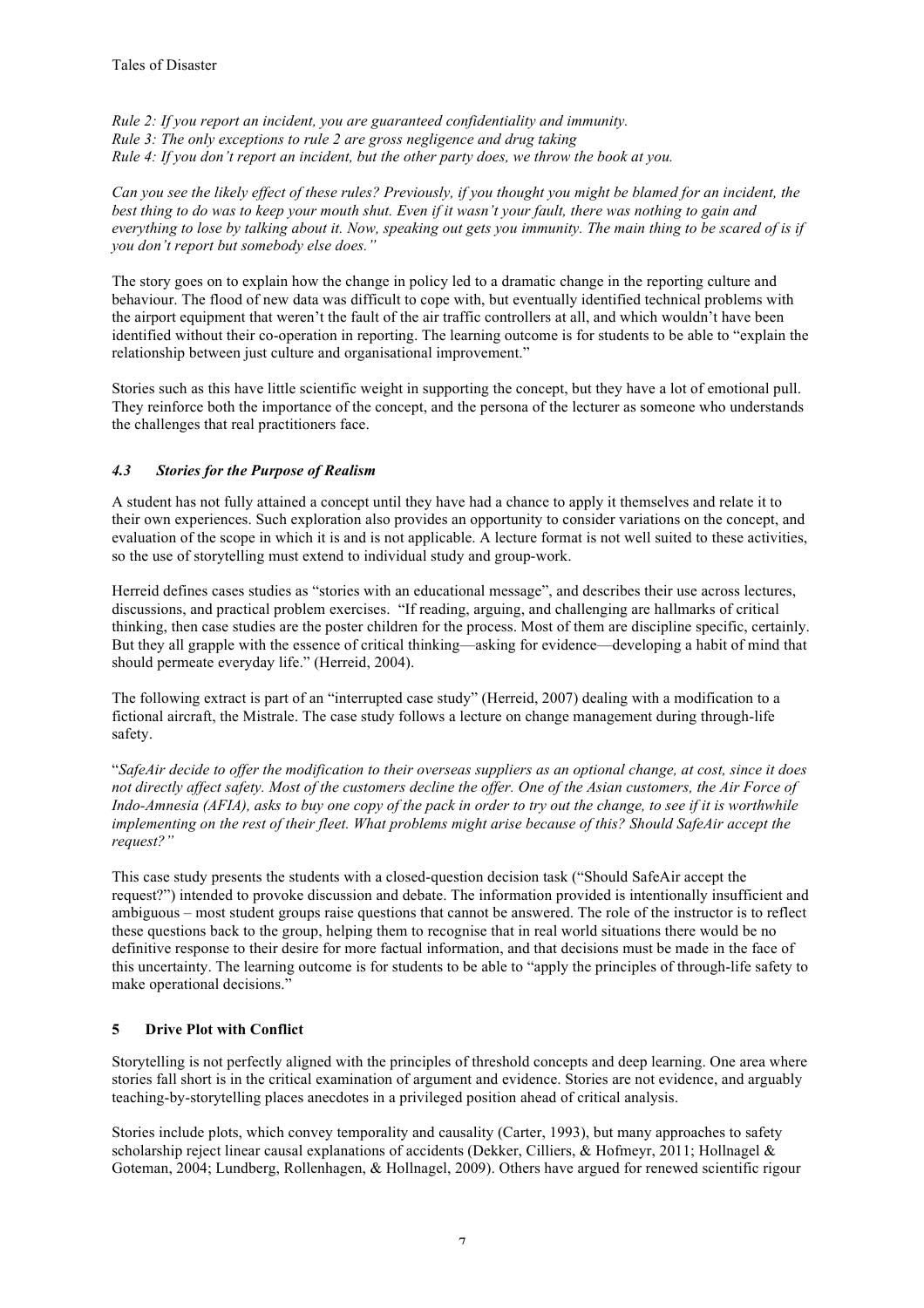*Rule 2: If you report an incident, you are guaranteed confidentiality and immunity. Rule 3: The only exceptions to rule 2 are gross negligence and drug taking*

*Rule 4: If you don't report an incident, but the other party does, we throw the book at you.* 

*Can you see the likely effect of these rules? Previously, if you thought you might be blamed for an incident, the best thing to do was to keep your mouth shut. Even if it wasn't your fault, there was nothing to gain and everything to lose by talking about it. Now, speaking out gets you immunity. The main thing to be scared of is if you don't report but somebody else does."*

The story goes on to explain how the change in policy led to a dramatic change in the reporting culture and behaviour. The flood of new data was difficult to cope with, but eventually identified technical problems with the airport equipment that weren't the fault of the air traffic controllers at all, and which wouldn't have been identified without their co-operation in reporting. The learning outcome is for students to be able to "explain the relationship between just culture and organisational improvement."

Stories such as this have little scientific weight in supporting the concept, but they have a lot of emotional pull. They reinforce both the importance of the concept, and the persona of the lecturer as someone who understands the challenges that real practitioners face.

# *4.3 Stories for the Purpose of Realism*

A student has not fully attained a concept until they have had a chance to apply it themselves and relate it to their own experiences. Such exploration also provides an opportunity to consider variations on the concept, and evaluation of the scope in which it is and is not applicable. A lecture format is not well suited to these activities, so the use of storytelling must extend to individual study and group-work.

Herreid defines cases studies as "stories with an educational message", and describes their use across lectures, discussions, and practical problem exercises. "If reading, arguing, and challenging are hallmarks of critical thinking, then case studies are the poster children for the process. Most of them are discipline specific, certainly. But they all grapple with the essence of critical thinking—asking for evidence—developing a habit of mind that should permeate everyday life." (Herreid, 2004).

The following extract is part of an "interrupted case study" (Herreid, 2007) dealing with a modification to a fictional aircraft, the Mistrale. The case study follows a lecture on change management during through-life safety.

"*SafeAir decide to offer the modification to their overseas suppliers as an optional change, at cost, since it does not directly affect safety. Most of the customers decline the offer. One of the Asian customers, the Air Force of Indo-Amnesia (AFIA), asks to buy one copy of the pack in order to try out the change, to see if it is worthwhile implementing on the rest of their fleet. What problems might arise because of this? Should SafeAir accept the request?"*

This case study presents the students with a closed-question decision task ("Should SafeAir accept the request?") intended to provoke discussion and debate. The information provided is intentionally insufficient and ambiguous – most student groups raise questions that cannot be answered. The role of the instructor is to reflect these questions back to the group, helping them to recognise that in real world situations there would be no definitive response to their desire for more factual information, and that decisions must be made in the face of this uncertainty. The learning outcome is for students to be able to "apply the principles of through-life safety to make operational decisions."

# **5 Drive Plot with Conflict**

Storytelling is not perfectly aligned with the principles of threshold concepts and deep learning. One area where stories fall short is in the critical examination of argument and evidence. Stories are not evidence, and arguably teaching-by-storytelling places anecdotes in a privileged position ahead of critical analysis.

Stories include plots, which convey temporality and causality (Carter, 1993), but many approaches to safety scholarship reject linear causal explanations of accidents (Dekker, Cilliers, & Hofmeyr, 2011; Hollnagel & Goteman, 2004; Lundberg, Rollenhagen, & Hollnagel, 2009). Others have argued for renewed scientific rigour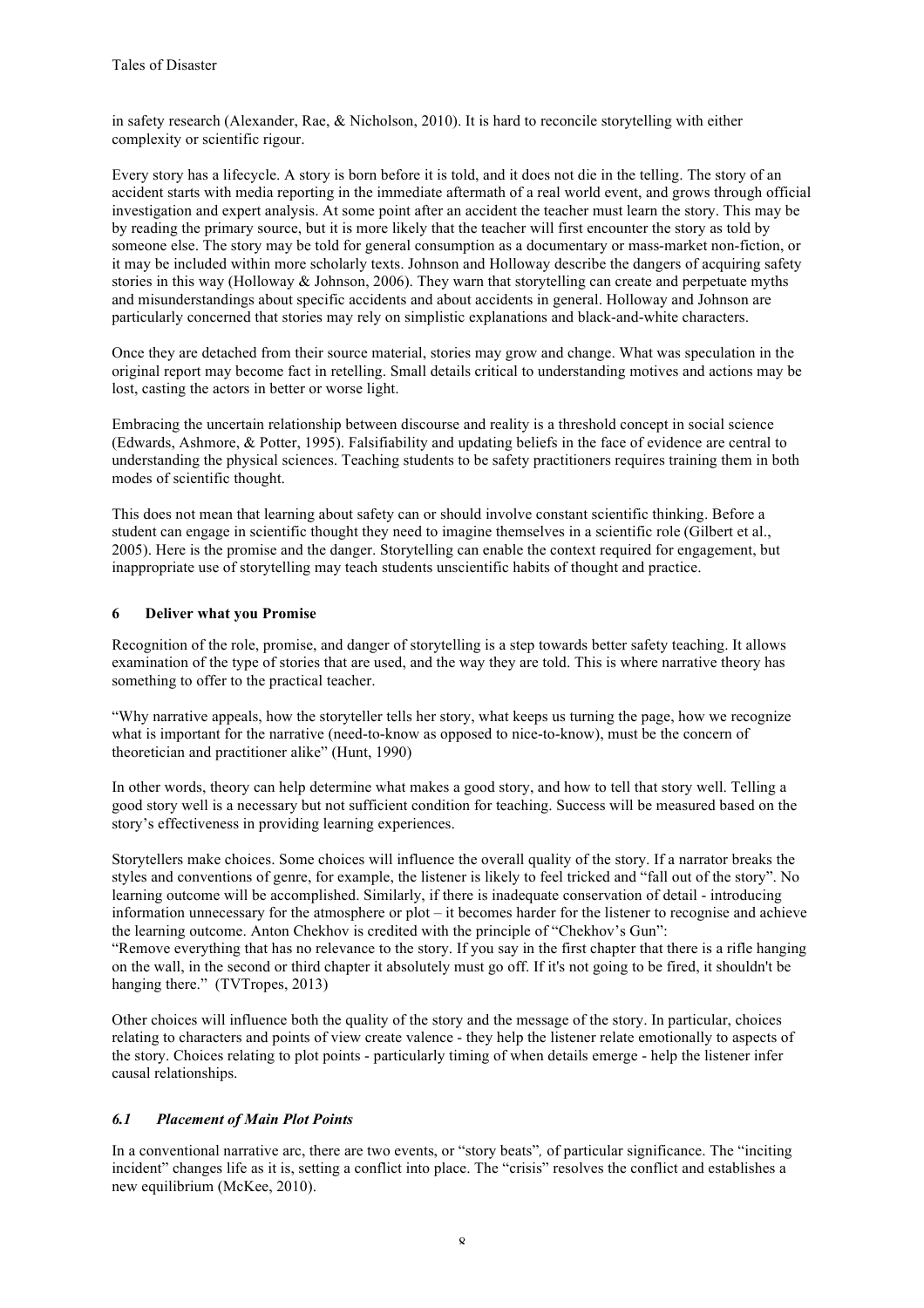in safety research (Alexander, Rae, & Nicholson, 2010). It is hard to reconcile storytelling with either complexity or scientific rigour.

Every story has a lifecycle. A story is born before it is told, and it does not die in the telling. The story of an accident starts with media reporting in the immediate aftermath of a real world event, and grows through official investigation and expert analysis. At some point after an accident the teacher must learn the story. This may be by reading the primary source, but it is more likely that the teacher will first encounter the story as told by someone else. The story may be told for general consumption as a documentary or mass-market non-fiction, or it may be included within more scholarly texts. Johnson and Holloway describe the dangers of acquiring safety stories in this way (Holloway & Johnson, 2006). They warn that storytelling can create and perpetuate myths and misunderstandings about specific accidents and about accidents in general. Holloway and Johnson are particularly concerned that stories may rely on simplistic explanations and black-and-white characters.

Once they are detached from their source material, stories may grow and change. What was speculation in the original report may become fact in retelling. Small details critical to understanding motives and actions may be lost, casting the actors in better or worse light.

Embracing the uncertain relationship between discourse and reality is a threshold concept in social science (Edwards, Ashmore, & Potter, 1995). Falsifiability and updating beliefs in the face of evidence are central to understanding the physical sciences. Teaching students to be safety practitioners requires training them in both modes of scientific thought.

This does not mean that learning about safety can or should involve constant scientific thinking. Before a student can engage in scientific thought they need to imagine themselves in a scientific role (Gilbert et al., 2005). Here is the promise and the danger. Storytelling can enable the context required for engagement, but inappropriate use of storytelling may teach students unscientific habits of thought and practice.

### **6 Deliver what you Promise**

Recognition of the role, promise, and danger of storytelling is a step towards better safety teaching. It allows examination of the type of stories that are used, and the way they are told. This is where narrative theory has something to offer to the practical teacher.

"Why narrative appeals, how the storyteller tells her story, what keeps us turning the page, how we recognize what is important for the narrative (need-to-know as opposed to nice-to-know), must be the concern of theoretician and practitioner alike" (Hunt, 1990)

In other words, theory can help determine what makes a good story, and how to tell that story well. Telling a good story well is a necessary but not sufficient condition for teaching. Success will be measured based on the story's effectiveness in providing learning experiences.

Storytellers make choices. Some choices will influence the overall quality of the story. If a narrator breaks the styles and conventions of genre, for example, the listener is likely to feel tricked and "fall out of the story". No learning outcome will be accomplished. Similarly, if there is inadequate conservation of detail - introducing information unnecessary for the atmosphere or plot – it becomes harder for the listener to recognise and achieve the learning outcome. Anton Chekhov is credited with the principle of "Chekhov's Gun": "Remove everything that has no relevance to the story. If you say in the first chapter that there is a rifle hanging on the wall, in the second or third chapter it absolutely must go off. If it's not going to be fired, it shouldn't be hanging there." (TVTropes, 2013)

Other choices will influence both the quality of the story and the message of the story. In particular, choices relating to characters and points of view create valence - they help the listener relate emotionally to aspects of the story. Choices relating to plot points - particularly timing of when details emerge - help the listener infer causal relationships.

### *6.1 Placement of Main Plot Points*

In a conventional narrative arc, there are two events, or "story beats"*,* of particular significance. The "inciting incident" changes life as it is, setting a conflict into place. The "crisis" resolves the conflict and establishes a new equilibrium (McKee, 2010).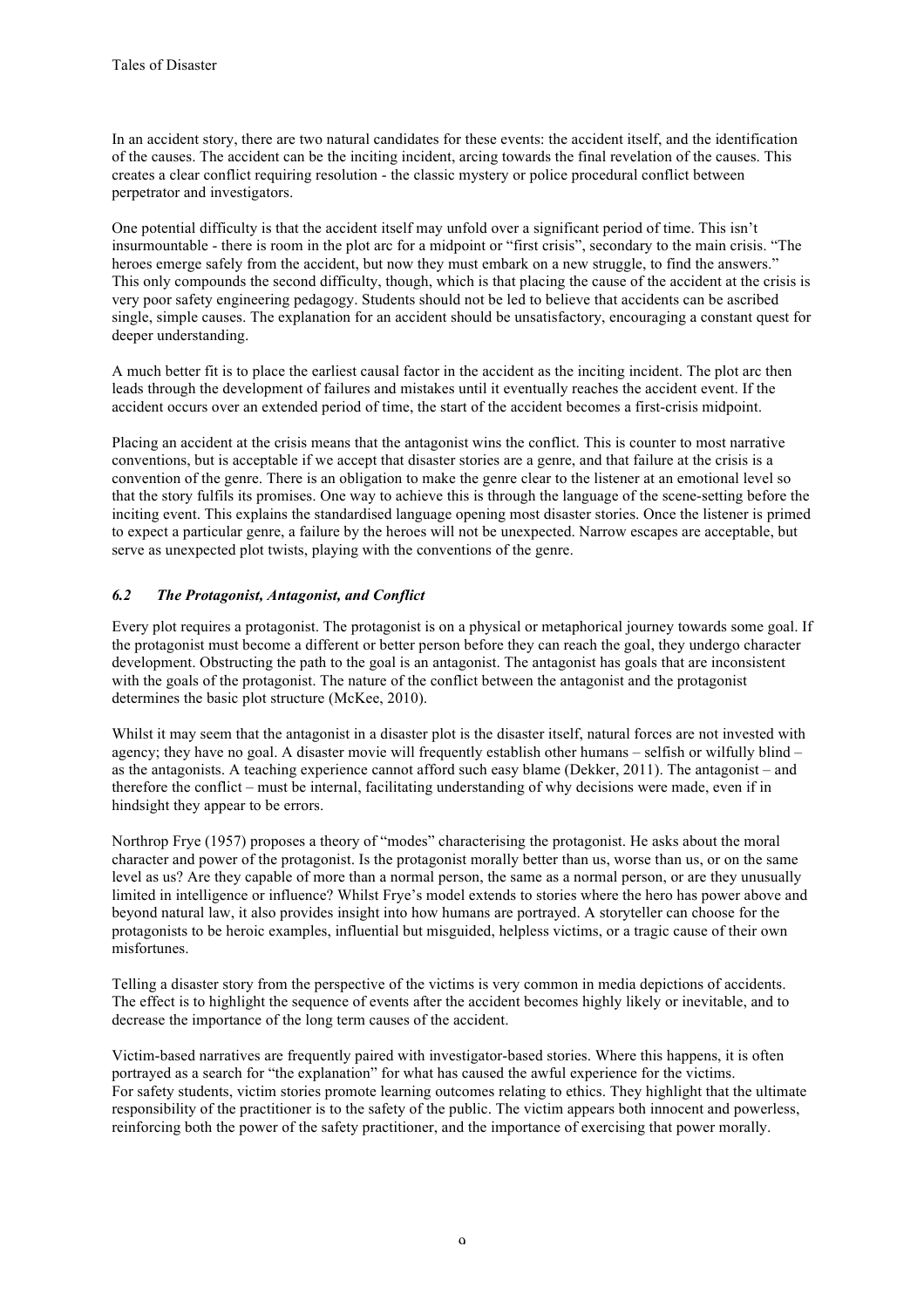In an accident story, there are two natural candidates for these events: the accident itself, and the identification of the causes. The accident can be the inciting incident, arcing towards the final revelation of the causes. This creates a clear conflict requiring resolution - the classic mystery or police procedural conflict between perpetrator and investigators.

One potential difficulty is that the accident itself may unfold over a significant period of time. This isn't insurmountable - there is room in the plot arc for a midpoint or "first crisis", secondary to the main crisis. "The heroes emerge safely from the accident, but now they must embark on a new struggle, to find the answers." This only compounds the second difficulty, though, which is that placing the cause of the accident at the crisis is very poor safety engineering pedagogy. Students should not be led to believe that accidents can be ascribed single, simple causes. The explanation for an accident should be unsatisfactory, encouraging a constant quest for deeper understanding.

A much better fit is to place the earliest causal factor in the accident as the inciting incident. The plot arc then leads through the development of failures and mistakes until it eventually reaches the accident event. If the accident occurs over an extended period of time, the start of the accident becomes a first-crisis midpoint.

Placing an accident at the crisis means that the antagonist wins the conflict. This is counter to most narrative conventions, but is acceptable if we accept that disaster stories are a genre, and that failure at the crisis is a convention of the genre. There is an obligation to make the genre clear to the listener at an emotional level so that the story fulfils its promises. One way to achieve this is through the language of the scene-setting before the inciting event. This explains the standardised language opening most disaster stories. Once the listener is primed to expect a particular genre, a failure by the heroes will not be unexpected. Narrow escapes are acceptable, but serve as unexpected plot twists, playing with the conventions of the genre.

# *6.2 The Protagonist, Antagonist, and Conflict*

Every plot requires a protagonist. The protagonist is on a physical or metaphorical journey towards some goal. If the protagonist must become a different or better person before they can reach the goal, they undergo character development. Obstructing the path to the goal is an antagonist. The antagonist has goals that are inconsistent with the goals of the protagonist. The nature of the conflict between the antagonist and the protagonist determines the basic plot structure (McKee, 2010).

Whilst it may seem that the antagonist in a disaster plot is the disaster itself, natural forces are not invested with agency; they have no goal. A disaster movie will frequently establish other humans – selfish or wilfully blind – as the antagonists. A teaching experience cannot afford such easy blame (Dekker, 2011). The antagonist – and therefore the conflict – must be internal, facilitating understanding of why decisions were made, even if in hindsight they appear to be errors.

Northrop Frye (1957) proposes a theory of "modes" characterising the protagonist. He asks about the moral character and power of the protagonist. Is the protagonist morally better than us, worse than us, or on the same level as us? Are they capable of more than a normal person, the same as a normal person, or are they unusually limited in intelligence or influence? Whilst Frye's model extends to stories where the hero has power above and beyond natural law, it also provides insight into how humans are portrayed. A storyteller can choose for the protagonists to be heroic examples, influential but misguided, helpless victims, or a tragic cause of their own misfortunes.

Telling a disaster story from the perspective of the victims is very common in media depictions of accidents. The effect is to highlight the sequence of events after the accident becomes highly likely or inevitable, and to decrease the importance of the long term causes of the accident.

Victim-based narratives are frequently paired with investigator-based stories. Where this happens, it is often portrayed as a search for "the explanation" for what has caused the awful experience for the victims. For safety students, victim stories promote learning outcomes relating to ethics. They highlight that the ultimate responsibility of the practitioner is to the safety of the public. The victim appears both innocent and powerless, reinforcing both the power of the safety practitioner, and the importance of exercising that power morally.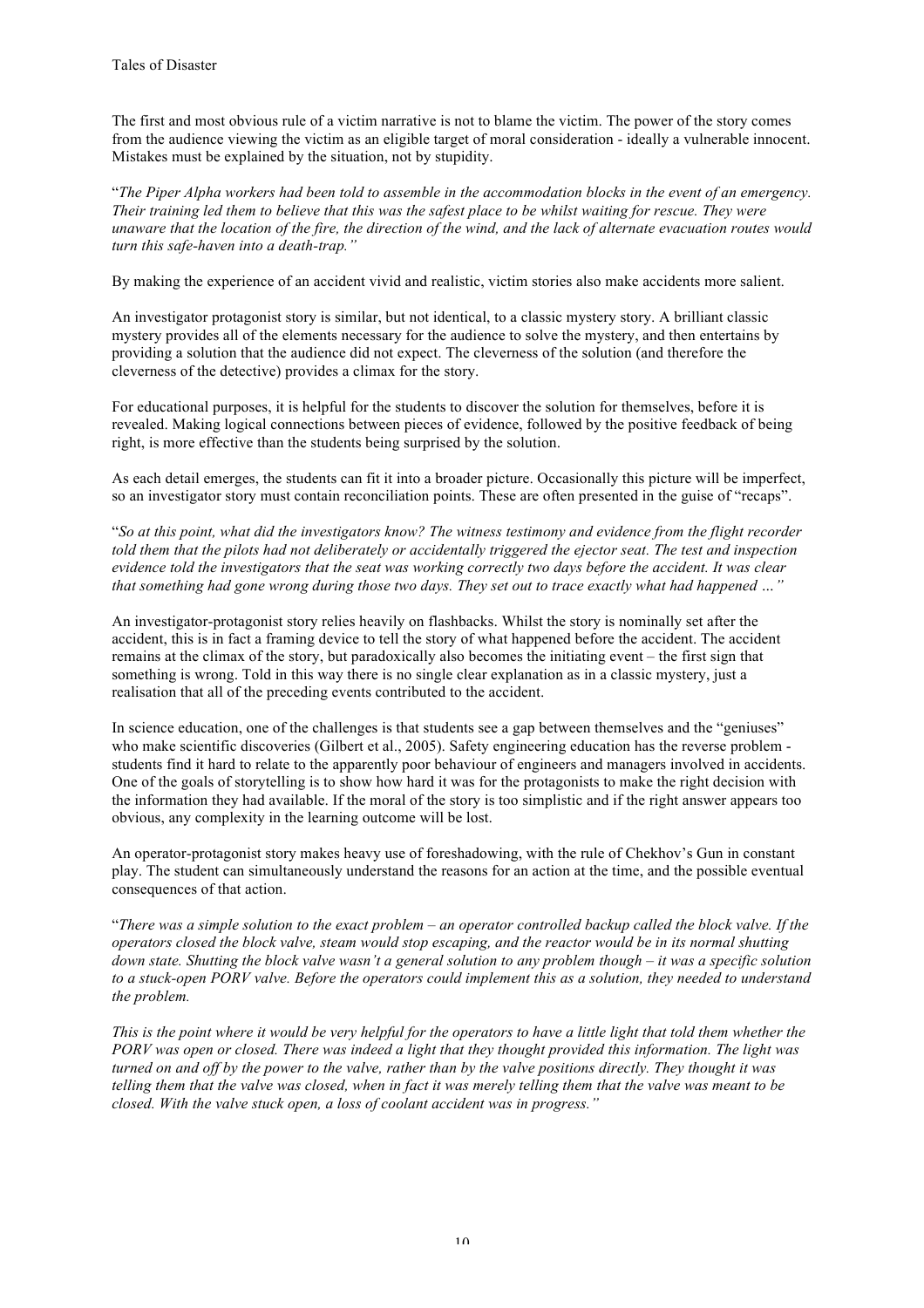The first and most obvious rule of a victim narrative is not to blame the victim. The power of the story comes from the audience viewing the victim as an eligible target of moral consideration - ideally a vulnerable innocent. Mistakes must be explained by the situation, not by stupidity.

"*The Piper Alpha workers had been told to assemble in the accommodation blocks in the event of an emergency. Their training led them to believe that this was the safest place to be whilst waiting for rescue. They were unaware that the location of the fire, the direction of the wind, and the lack of alternate evacuation routes would turn this safe-haven into a death-trap."*

By making the experience of an accident vivid and realistic, victim stories also make accidents more salient.

An investigator protagonist story is similar, but not identical, to a classic mystery story. A brilliant classic mystery provides all of the elements necessary for the audience to solve the mystery, and then entertains by providing a solution that the audience did not expect. The cleverness of the solution (and therefore the cleverness of the detective) provides a climax for the story.

For educational purposes, it is helpful for the students to discover the solution for themselves, before it is revealed. Making logical connections between pieces of evidence, followed by the positive feedback of being right, is more effective than the students being surprised by the solution.

As each detail emerges, the students can fit it into a broader picture. Occasionally this picture will be imperfect, so an investigator story must contain reconciliation points. These are often presented in the guise of "recaps".

"*So at this point, what did the investigators know? The witness testimony and evidence from the flight recorder told them that the pilots had not deliberately or accidentally triggered the ejector seat. The test and inspection evidence told the investigators that the seat was working correctly two days before the accident. It was clear that something had gone wrong during those two days. They set out to trace exactly what had happened …"*

An investigator-protagonist story relies heavily on flashbacks. Whilst the story is nominally set after the accident, this is in fact a framing device to tell the story of what happened before the accident. The accident remains at the climax of the story, but paradoxically also becomes the initiating event – the first sign that something is wrong. Told in this way there is no single clear explanation as in a classic mystery, just a realisation that all of the preceding events contributed to the accident.

In science education, one of the challenges is that students see a gap between themselves and the "geniuses" who make scientific discoveries (Gilbert et al., 2005). Safety engineering education has the reverse problem students find it hard to relate to the apparently poor behaviour of engineers and managers involved in accidents. One of the goals of storytelling is to show how hard it was for the protagonists to make the right decision with the information they had available. If the moral of the story is too simplistic and if the right answer appears too obvious, any complexity in the learning outcome will be lost.

An operator-protagonist story makes heavy use of foreshadowing, with the rule of Chekhov's Gun in constant play. The student can simultaneously understand the reasons for an action at the time, and the possible eventual consequences of that action.

"*There was a simple solution to the exact problem – an operator controlled backup called the block valve. If the operators closed the block valve, steam would stop escaping, and the reactor would be in its normal shutting down state. Shutting the block valve wasn't a general solution to any problem though – it was a specific solution to a stuck-open PORV valve. Before the operators could implement this as a solution, they needed to understand the problem.*

*This is the point where it would be very helpful for the operators to have a little light that told them whether the PORV was open or closed. There was indeed a light that they thought provided this information. The light was turned on and off by the power to the valve, rather than by the valve positions directly. They thought it was telling them that the valve was closed, when in fact it was merely telling them that the valve was meant to be closed. With the valve stuck open, a loss of coolant accident was in progress."*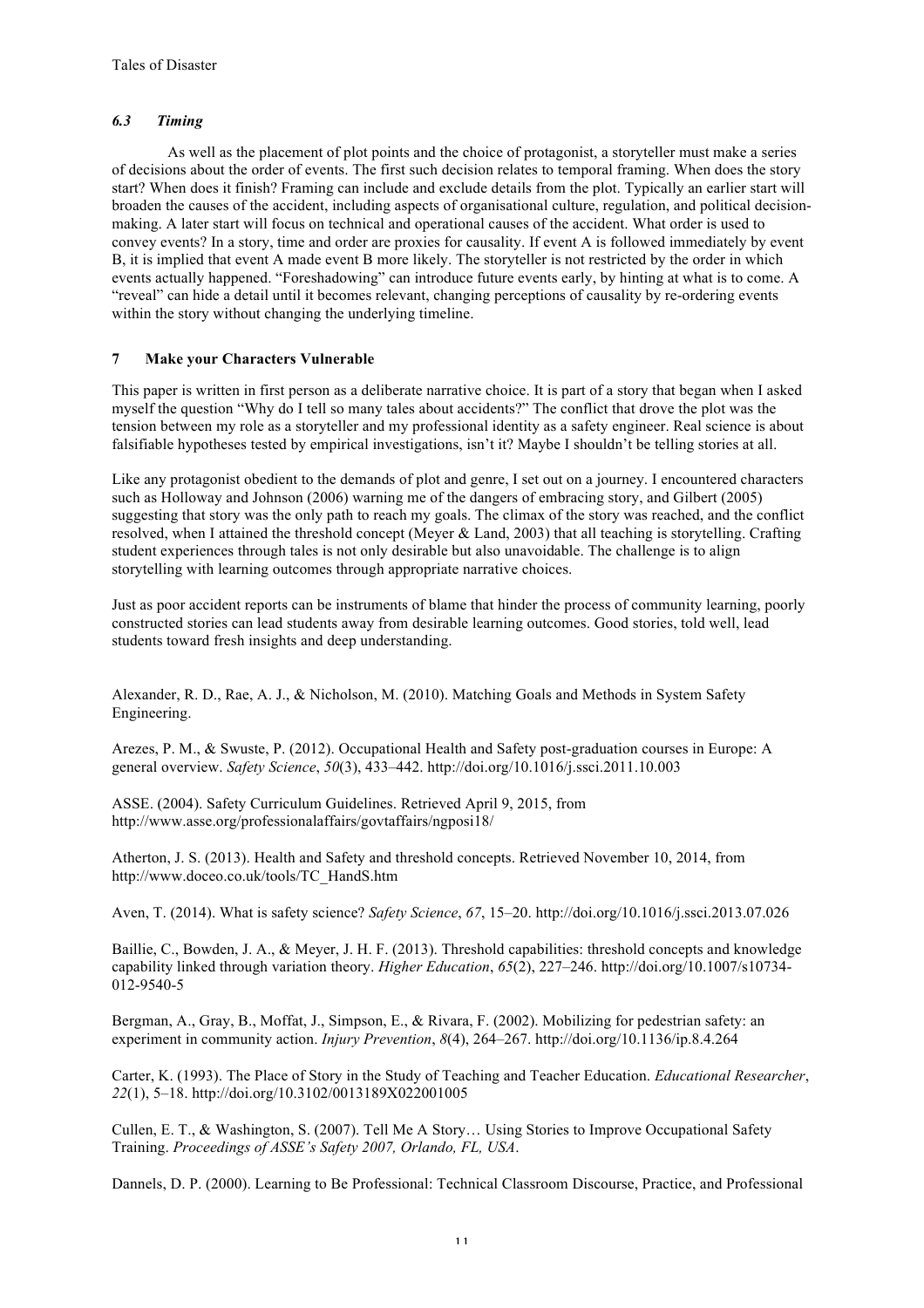## *6.3 Timing*

As well as the placement of plot points and the choice of protagonist, a storyteller must make a series of decisions about the order of events. The first such decision relates to temporal framing. When does the story start? When does it finish? Framing can include and exclude details from the plot. Typically an earlier start will broaden the causes of the accident, including aspects of organisational culture, regulation, and political decisionmaking. A later start will focus on technical and operational causes of the accident. What order is used to convey events? In a story, time and order are proxies for causality. If event A is followed immediately by event B, it is implied that event A made event B more likely. The storyteller is not restricted by the order in which events actually happened. "Foreshadowing" can introduce future events early, by hinting at what is to come. A "reveal" can hide a detail until it becomes relevant, changing perceptions of causality by re-ordering events within the story without changing the underlying timeline.

# **7 Make your Characters Vulnerable**

This paper is written in first person as a deliberate narrative choice. It is part of a story that began when I asked myself the question "Why do I tell so many tales about accidents?" The conflict that drove the plot was the tension between my role as a storyteller and my professional identity as a safety engineer. Real science is about falsifiable hypotheses tested by empirical investigations, isn't it? Maybe I shouldn't be telling stories at all.

Like any protagonist obedient to the demands of plot and genre, I set out on a journey. I encountered characters such as Holloway and Johnson (2006) warning me of the dangers of embracing story, and Gilbert (2005) suggesting that story was the only path to reach my goals. The climax of the story was reached, and the conflict resolved, when I attained the threshold concept (Meyer & Land, 2003) that all teaching is storytelling. Crafting student experiences through tales is not only desirable but also unavoidable. The challenge is to align storytelling with learning outcomes through appropriate narrative choices.

Just as poor accident reports can be instruments of blame that hinder the process of community learning, poorly constructed stories can lead students away from desirable learning outcomes. Good stories, told well, lead students toward fresh insights and deep understanding.

Alexander, R. D., Rae, A. J., & Nicholson, M. (2010). Matching Goals and Methods in System Safety Engineering.

Arezes, P. M., & Swuste, P. (2012). Occupational Health and Safety post-graduation courses in Europe: A general overview. *Safety Science*, *50*(3), 433–442. http://doi.org/10.1016/j.ssci.2011.10.003

ASSE. (2004). Safety Curriculum Guidelines. Retrieved April 9, 2015, from http://www.asse.org/professionalaffairs/govtaffairs/ngposi18/

Atherton, J. S. (2013). Health and Safety and threshold concepts. Retrieved November 10, 2014, from http://www.doceo.co.uk/tools/TC\_HandS.htm

Aven, T. (2014). What is safety science? *Safety Science*, *67*, 15–20. http://doi.org/10.1016/j.ssci.2013.07.026

Baillie, C., Bowden, J. A., & Meyer, J. H. F. (2013). Threshold capabilities: threshold concepts and knowledge capability linked through variation theory. *Higher Education*, *65*(2), 227–246. http://doi.org/10.1007/s10734- 012-9540-5

Bergman, A., Gray, B., Moffat, J., Simpson, E., & Rivara, F. (2002). Mobilizing for pedestrian safety: an experiment in community action. *Injury Prevention*, *8*(4), 264–267. http://doi.org/10.1136/ip.8.4.264

Carter, K. (1993). The Place of Story in the Study of Teaching and Teacher Education. *Educational Researcher*, *22*(1), 5–18. http://doi.org/10.3102/0013189X022001005

Cullen, E. T., & Washington, S. (2007). Tell Me A Story… Using Stories to Improve Occupational Safety Training. *Proceedings of ASSE's Safety 2007, Orlando, FL, USA*.

Dannels, D. P. (2000). Learning to Be Professional: Technical Classroom Discourse, Practice, and Professional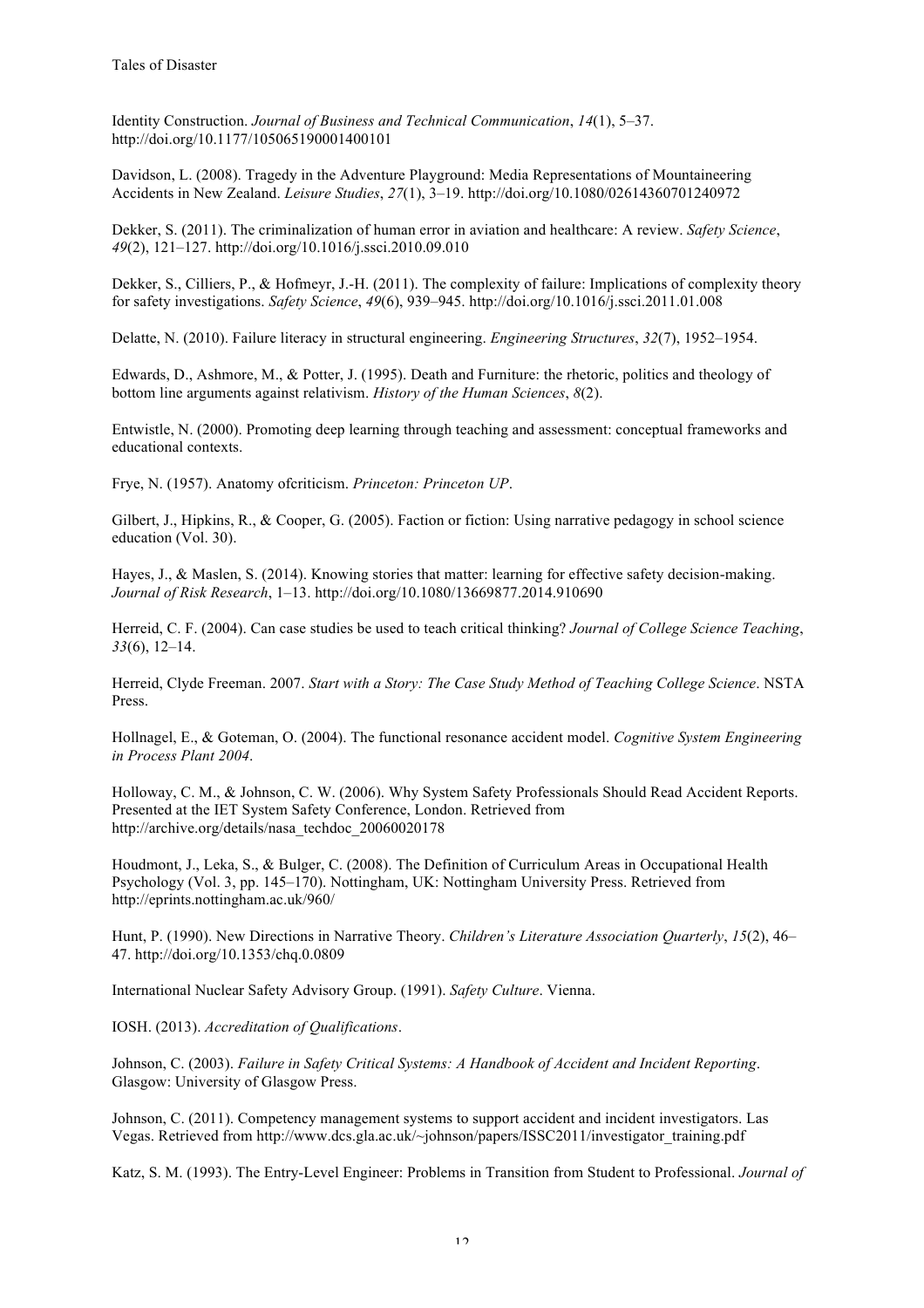Identity Construction. *Journal of Business and Technical Communication*, *14*(1), 5–37. http://doi.org/10.1177/105065190001400101

Davidson, L. (2008). Tragedy in the Adventure Playground: Media Representations of Mountaineering Accidents in New Zealand. *Leisure Studies*, *27*(1), 3–19. http://doi.org/10.1080/02614360701240972

Dekker, S. (2011). The criminalization of human error in aviation and healthcare: A review. *Safety Science*, *49*(2), 121–127. http://doi.org/10.1016/j.ssci.2010.09.010

Dekker, S., Cilliers, P., & Hofmeyr, J.-H. (2011). The complexity of failure: Implications of complexity theory for safety investigations. *Safety Science*, *49*(6), 939–945. http://doi.org/10.1016/j.ssci.2011.01.008

Delatte, N. (2010). Failure literacy in structural engineering. *Engineering Structures*, *32*(7), 1952–1954.

Edwards, D., Ashmore, M., & Potter, J. (1995). Death and Furniture: the rhetoric, politics and theology of bottom line arguments against relativism. *History of the Human Sciences*, *8*(2).

Entwistle, N. (2000). Promoting deep learning through teaching and assessment: conceptual frameworks and educational contexts.

Frye, N. (1957). Anatomy ofcriticism. *Princeton: Princeton UP*.

Gilbert, J., Hipkins, R., & Cooper, G. (2005). Faction or fiction: Using narrative pedagogy in school science education (Vol. 30).

Hayes, J., & Maslen, S. (2014). Knowing stories that matter: learning for effective safety decision-making. *Journal of Risk Research*, 1–13. http://doi.org/10.1080/13669877.2014.910690

Herreid, C. F. (2004). Can case studies be used to teach critical thinking? *Journal of College Science Teaching*, *33*(6), 12–14.

Herreid, Clyde Freeman. 2007. *Start with a Story: The Case Study Method of Teaching College Science*. NSTA Press.

Hollnagel, E., & Goteman, O. (2004). The functional resonance accident model. *Cognitive System Engineering in Process Plant 2004*.

Holloway, C. M., & Johnson, C. W. (2006). Why System Safety Professionals Should Read Accident Reports. Presented at the IET System Safety Conference, London. Retrieved from http://archive.org/details/nasa\_techdoc\_20060020178

Houdmont, J., Leka, S., & Bulger, C. (2008). The Definition of Curriculum Areas in Occupational Health Psychology (Vol. 3, pp. 145–170). Nottingham, UK: Nottingham University Press. Retrieved from http://eprints.nottingham.ac.uk/960/

Hunt, P. (1990). New Directions in Narrative Theory. *Children's Literature Association Quarterly*, *15*(2), 46– 47. http://doi.org/10.1353/chq.0.0809

International Nuclear Safety Advisory Group. (1991). *Safety Culture*. Vienna.

IOSH. (2013). *Accreditation of Qualifications*.

Johnson, C. (2003). *Failure in Safety Critical Systems: A Handbook of Accident and Incident Reporting*. Glasgow: University of Glasgow Press.

Johnson, C. (2011). Competency management systems to support accident and incident investigators. Las Vegas. Retrieved from http://www.dcs.gla.ac.uk/~johnson/papers/ISSC2011/investigator\_training.pdf

Katz, S. M. (1993). The Entry-Level Engineer: Problems in Transition from Student to Professional. *Journal of*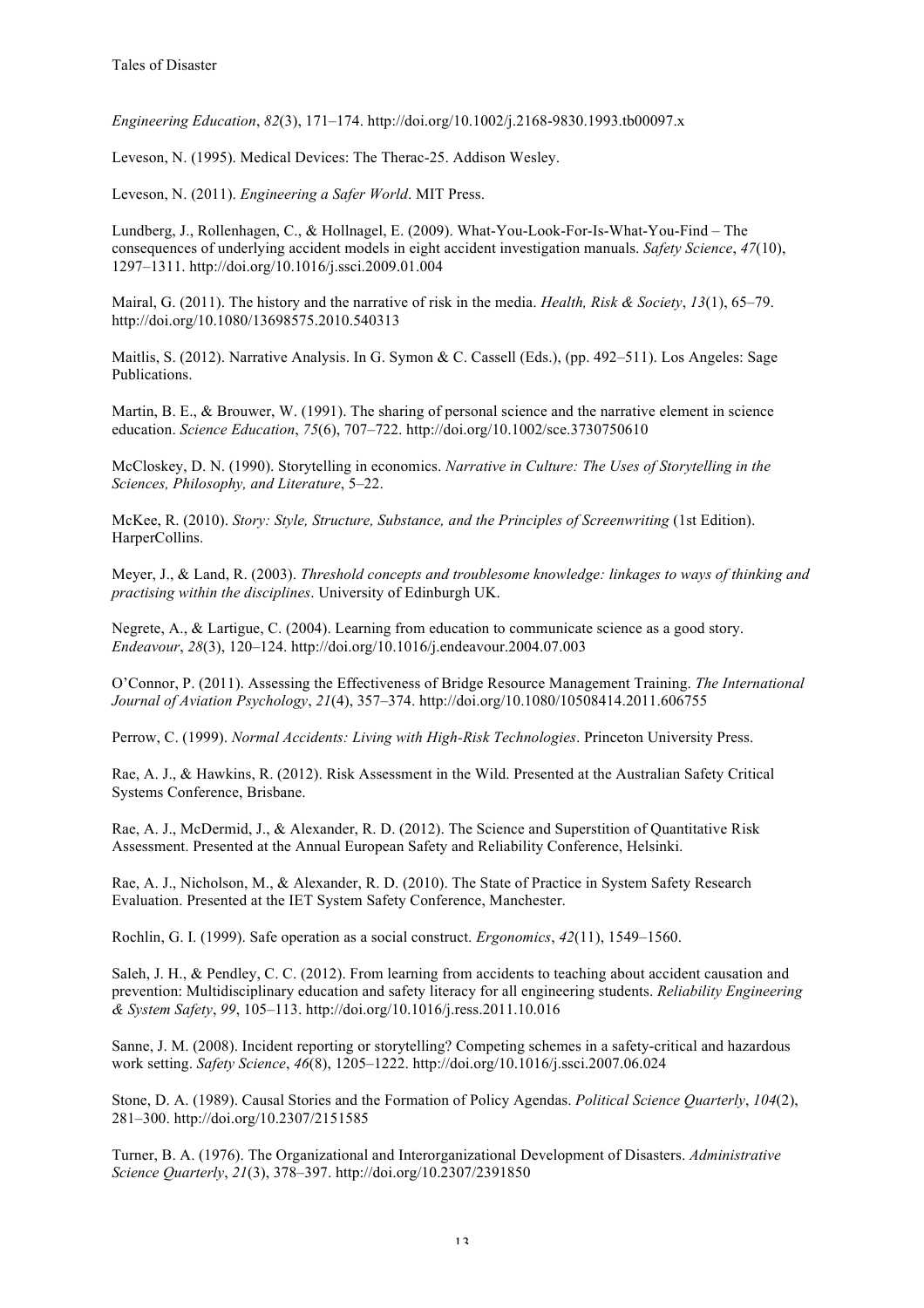*Engineering Education*, *82*(3), 171–174. http://doi.org/10.1002/j.2168-9830.1993.tb00097.x

Leveson, N. (1995). Medical Devices: The Therac-25. Addison Wesley.

Leveson, N. (2011). *Engineering a Safer World*. MIT Press.

Lundberg, J., Rollenhagen, C., & Hollnagel, E. (2009). What-You-Look-For-Is-What-You-Find – The consequences of underlying accident models in eight accident investigation manuals. *Safety Science*, *47*(10), 1297–1311. http://doi.org/10.1016/j.ssci.2009.01.004

Mairal, G. (2011). The history and the narrative of risk in the media. *Health, Risk & Society*, *13*(1), 65–79. http://doi.org/10.1080/13698575.2010.540313

Maitlis, S. (2012). Narrative Analysis. In G. Symon & C. Cassell (Eds.), (pp. 492–511). Los Angeles: Sage Publications.

Martin, B. E., & Brouwer, W. (1991). The sharing of personal science and the narrative element in science education. *Science Education*, *75*(6), 707–722. http://doi.org/10.1002/sce.3730750610

McCloskey, D. N. (1990). Storytelling in economics. *Narrative in Culture: The Uses of Storytelling in the Sciences, Philosophy, and Literature*, 5–22.

McKee, R. (2010). *Story: Style, Structure, Substance, and the Principles of Screenwriting* (1st Edition). HarperCollins.

Meyer, J., & Land, R. (2003). *Threshold concepts and troublesome knowledge: linkages to ways of thinking and practising within the disciplines*. University of Edinburgh UK.

Negrete, A., & Lartigue, C. (2004). Learning from education to communicate science as a good story. *Endeavour*, *28*(3), 120–124. http://doi.org/10.1016/j.endeavour.2004.07.003

O'Connor, P. (2011). Assessing the Effectiveness of Bridge Resource Management Training. *The International Journal of Aviation Psychology*, *21*(4), 357–374. http://doi.org/10.1080/10508414.2011.606755

Perrow, C. (1999). *Normal Accidents: Living with High-Risk Technologies*. Princeton University Press.

Rae, A. J., & Hawkins, R. (2012). Risk Assessment in the Wild. Presented at the Australian Safety Critical Systems Conference, Brisbane.

Rae, A. J., McDermid, J., & Alexander, R. D. (2012). The Science and Superstition of Quantitative Risk Assessment. Presented at the Annual European Safety and Reliability Conference, Helsinki.

Rae, A. J., Nicholson, M., & Alexander, R. D. (2010). The State of Practice in System Safety Research Evaluation. Presented at the IET System Safety Conference, Manchester.

Rochlin, G. I. (1999). Safe operation as a social construct. *Ergonomics*, *42*(11), 1549–1560.

Saleh, J. H., & Pendley, C. C. (2012). From learning from accidents to teaching about accident causation and prevention: Multidisciplinary education and safety literacy for all engineering students. *Reliability Engineering & System Safety*, *99*, 105–113. http://doi.org/10.1016/j.ress.2011.10.016

Sanne, J. M. (2008). Incident reporting or storytelling? Competing schemes in a safety-critical and hazardous work setting. *Safety Science*, *46*(8), 1205–1222. http://doi.org/10.1016/j.ssci.2007.06.024

Stone, D. A. (1989). Causal Stories and the Formation of Policy Agendas. *Political Science Quarterly*, *104*(2), 281–300. http://doi.org/10.2307/2151585

Turner, B. A. (1976). The Organizational and Interorganizational Development of Disasters. *Administrative Science Quarterly*, *21*(3), 378–397. http://doi.org/10.2307/2391850